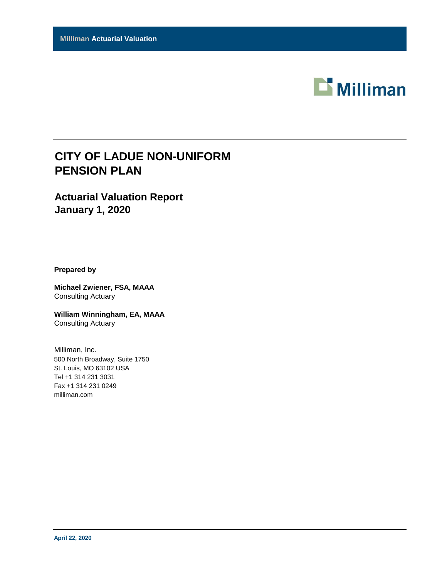

# **CITY OF LADUE NON-UNIFORM PENSION PLAN**

### **Actuarial Valuation Report January 1, 2020**

**Prepared by**

**Michael Zwiener, FSA, MAAA** Consulting Actuary

**William Winningham, EA, MAAA** Consulting Actuary

Milliman, Inc. 500 North Broadway, Suite 1750 St. Louis, MO 63102 USA Tel +1 314 231 3031 Fax +1 314 231 0249 milliman.com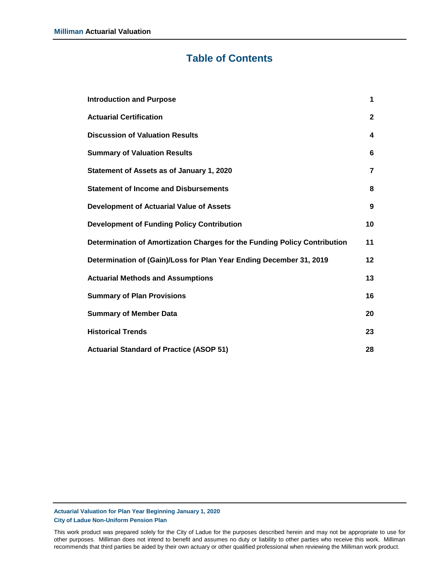### **Table of Contents**

| <b>Introduction and Purpose</b>                                           | $\mathbf 1$    |
|---------------------------------------------------------------------------|----------------|
| <b>Actuarial Certification</b>                                            | $\mathbf{2}$   |
| <b>Discussion of Valuation Results</b>                                    | 4              |
| <b>Summary of Valuation Results</b>                                       | 6              |
| Statement of Assets as of January 1, 2020                                 | $\overline{7}$ |
| <b>Statement of Income and Disbursements</b>                              | 8              |
| <b>Development of Actuarial Value of Assets</b>                           | 9              |
| <b>Development of Funding Policy Contribution</b>                         | 10             |
| Determination of Amortization Charges for the Funding Policy Contribution | 11             |
| Determination of (Gain)/Loss for Plan Year Ending December 31, 2019       | $12 \,$        |
| <b>Actuarial Methods and Assumptions</b>                                  | 13             |
| <b>Summary of Plan Provisions</b>                                         | 16             |
| <b>Summary of Member Data</b>                                             | 20             |
| <b>Historical Trends</b>                                                  | 23             |
| <b>Actuarial Standard of Practice (ASOP 51)</b>                           | 28             |

#### **Actuarial Valuation for Plan Year Beginning January 1, 2020 City of Ladue Non-Uniform Pension Plan**

This work product was prepared solely for the City of Ladue for the purposes described herein and may not be appropriate to use for other purposes. Milliman does not intend to benefit and assumes no duty or liability to other parties who receive this work. Milliman recommends that third parties be aided by their own actuary or other qualified professional when reviewing the Milliman work product.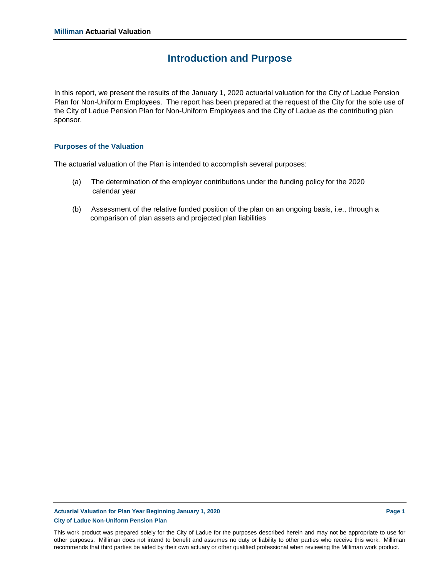### **Introduction and Purpose**

In this report, we present the results of the January 1, 2020 actuarial valuation for the City of Ladue Pension Plan for Non-Uniform Employees. The report has been prepared at the request of the City for the sole use of the City of Ladue Pension Plan for Non-Uniform Employees and the City of Ladue as the contributing plan sponsor.

### **Purposes of the Valuation**

The actuarial valuation of the Plan is intended to accomplish several purposes:

- (a) The determination of the employer contributions under the funding policy for the 2020 calendar year
- (b) Assessment of the relative funded position of the plan on an ongoing basis, i.e., through a comparison of plan assets and projected plan liabilities

### **Actuarial Valuation for Plan Year Beginning January 1, 2020 Page 1 City of Ladue Non-Uniform Pension Plan**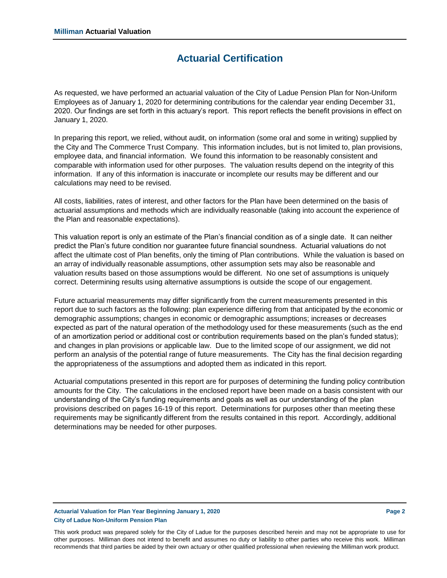### **Actuarial Certification**

As requested, we have performed an actuarial valuation of the City of Ladue Pension Plan for Non-Uniform Employees as of January 1, 2020 for determining contributions for the calendar year ending December 31, 2020. Our findings are set forth in this actuary's report. This report reflects the benefit provisions in effect on January 1, 2020.

In preparing this report, we relied, without audit, on information (some oral and some in writing) supplied by the City and The Commerce Trust Company. This information includes, but is not limited to, plan provisions, employee data, and financial information. We found this information to be reasonably consistent and comparable with information used for other purposes. The valuation results depend on the integrity of this information. If any of this information is inaccurate or incomplete our results may be different and our calculations may need to be revised.

All costs, liabilities, rates of interest, and other factors for the Plan have been determined on the basis of actuarial assumptions and methods which are individually reasonable (taking into account the experience of the Plan and reasonable expectations).

This valuation report is only an estimate of the Plan's financial condition as of a single date. It can neither predict the Plan's future condition nor guarantee future financial soundness. Actuarial valuations do not affect the ultimate cost of Plan benefits, only the timing of Plan contributions. While the valuation is based on an array of individually reasonable assumptions, other assumption sets may also be reasonable and valuation results based on those assumptions would be different. No one set of assumptions is uniquely correct. Determining results using alternative assumptions is outside the scope of our engagement.

Future actuarial measurements may differ significantly from the current measurements presented in this report due to such factors as the following: plan experience differing from that anticipated by the economic or demographic assumptions; changes in economic or demographic assumptions; increases or decreases expected as part of the natural operation of the methodology used for these measurements (such as the end of an amortization period or additional cost or contribution requirements based on the plan's funded status); and changes in plan provisions or applicable law. Due to the limited scope of our assignment, we did not perform an analysis of the potential range of future measurements. The City has the final decision regarding the appropriateness of the assumptions and adopted them as indicated in this report.

Actuarial computations presented in this report are for purposes of determining the funding policy contribution amounts for the City. The calculations in the enclosed report have been made on a basis consistent with our understanding of the City's funding requirements and goals as well as our understanding of the plan provisions described on pages 16-19 of this report. Determinations for purposes other than meeting these requirements may be significantly different from the results contained in this report. Accordingly, additional determinations may be needed for other purposes.

#### **Actuarial Valuation for Plan Year Beginning January 1, 2020 Page 2 City of Ladue Non-Uniform Pension Plan**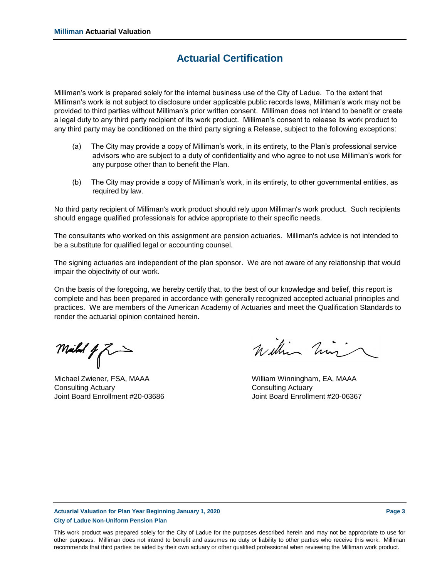### **Actuarial Certification**

Milliman's work is prepared solely for the internal business use of the City of Ladue. To the extent that Milliman's work is not subject to disclosure under applicable public records laws, Milliman's work may not be provided to third parties without Milliman's prior written consent. Milliman does not intend to benefit or create a legal duty to any third party recipient of its work product. Milliman's consent to release its work product to any third party may be conditioned on the third party signing a Release, subject to the following exceptions:

- (a) The City may provide a copy of Milliman's work, in its entirety, to the Plan's professional service advisors who are subject to a duty of confidentiality and who agree to not use Milliman's work for any purpose other than to benefit the Plan.
- (b) The City may provide a copy of Milliman's work, in its entirety, to other governmental entities, as required by law.

No third party recipient of Milliman's work product should rely upon Milliman's work product. Such recipients should engage qualified professionals for advice appropriate to their specific needs.

The consultants who worked on this assignment are pension actuaries. Milliman's advice is not intended to be a substitute for qualified legal or accounting counsel.

The signing actuaries are independent of the plan sponsor. We are not aware of any relationship that would impair the objectivity of our work.

On the basis of the foregoing, we hereby certify that, to the best of our knowledge and belief, this report is complete and has been prepared in accordance with generally recognized accepted actuarial principles and practices. We are members of the American Academy of Actuaries and meet the Qualification Standards to render the actuarial opinion contained herein.

Millel  $f \gtrsim$ 

Consulting Actuary Consulting Actuary

William him

Michael Zwiener, FSA, MAAA William Winningham, EA, MAAA Joint Board Enrollment #20-03686 Joint Board Enrollment #20-06367

### **Actuarial Valuation for Plan Year Beginning January 1, 2020 Page 3 City of Ladue Non-Uniform Pension Plan**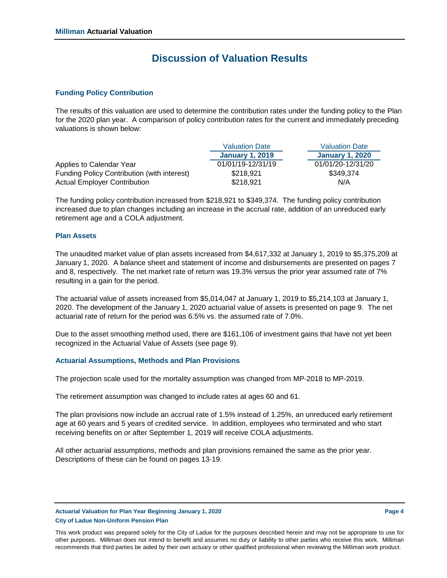### **Discussion of Valuation Results**

### **Funding Policy Contribution**

The results of this valuation are used to determine the contribution rates under the funding policy to the Plan for the 2020 plan year. A comparison of policy contribution rates for the current and immediately preceding valuations is shown below:

|                                             | <b>Valuation Date</b>  | <b>Valuation Date</b>  |
|---------------------------------------------|------------------------|------------------------|
|                                             | <b>January 1, 2019</b> | <b>January 1, 2020</b> |
| Applies to Calendar Year                    | 01/01/19-12/31/19      | 01/01/20-12/31/20      |
| Funding Policy Contribution (with interest) | \$218,921              | \$349.374              |
| <b>Actual Employer Contribution</b>         | \$218,921              | N/A                    |

The funding policy contribution increased from \$218,921 to \$349,374. The funding policy contribution increased due to plan changes including an increase in the accrual rate, addition of an unreduced early retirement age and a COLA adjustment.

### **Plan Assets**

The unaudited market value of plan assets increased from \$4,617,332 at January 1, 2019 to \$5,375,209 at January 1, 2020. A balance sheet and statement of income and disbursements are presented on pages 7 and 8, respectively. The net market rate of return was 19.3% versus the prior year assumed rate of 7% resulting in a gain for the period.

The actuarial value of assets increased from \$5,014,047 at January 1, 2019 to \$5,214,103 at January 1, 2020. The development of the January 1, 2020 actuarial value of assets is presented on page 9. The net actuarial rate of return for the period was 6.5% vs. the assumed rate of 7.0%.

Due to the asset smoothing method used, there are \$161,106 of investment gains that have not yet been recognized in the Actuarial Value of Assets (see page 9).

### **Actuarial Assumptions, Methods and Plan Provisions**

The projection scale used for the mortality assumption was changed from MP-2018 to MP-2019.

The retirement assumption was changed to include rates at ages 60 and 61.

The plan provisions now include an accrual rate of 1.5% instead of 1.25%, an unreduced early retirement age at 60 years and 5 years of credited service. In addition, employees who terminated and who start receiving benefits on or after September 1, 2019 will receive COLA adjustments.

All other actuarial assumptions, methods and plan provisions remained the same as the prior year. Descriptions of these can be found on pages 13-19.

#### **Actuarial Valuation for Plan Year Beginning January 1, 2020 Page 4 City of Ladue Non-Uniform Pension Plan**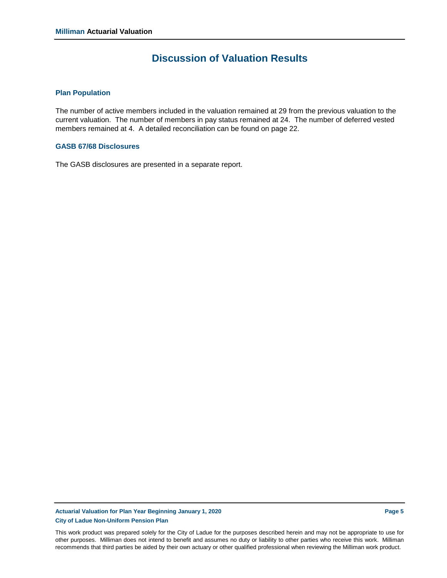### **Discussion of Valuation Results**

#### **Plan Population**

The number of active members included in the valuation remained at 29 from the previous valuation to the current valuation. The number of members in pay status remained at 24. The number of deferred vested members remained at 4. A detailed reconciliation can be found on page 22.

#### **GASB 67/68 Disclosures**

The GASB disclosures are presented in a separate report.

### **Actuarial Valuation for Plan Year Beginning January 1, 2020 Page 5 City of Ladue Non-Uniform Pension Plan**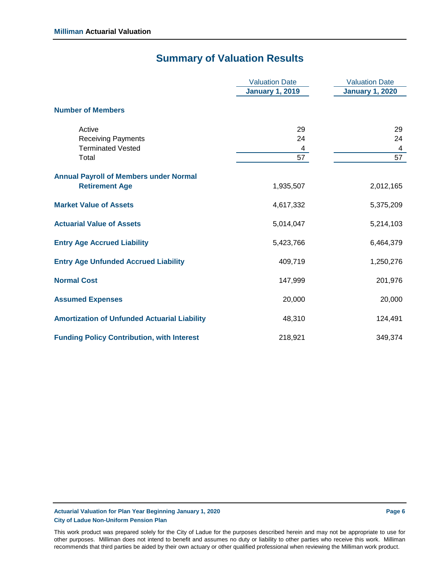# **Summary of Valuation Results**

|                                                     | <b>Valuation Date</b>  | <b>Valuation Date</b>  |
|-----------------------------------------------------|------------------------|------------------------|
|                                                     | <b>January 1, 2019</b> | <b>January 1, 2020</b> |
| <b>Number of Members</b>                            |                        |                        |
| Active                                              | 29                     | 29                     |
| <b>Receiving Payments</b>                           | 24                     | 24                     |
| <b>Terminated Vested</b>                            | 4                      | 4                      |
| Total                                               | 57                     | 57                     |
| <b>Annual Payroll of Members under Normal</b>       |                        |                        |
| <b>Retirement Age</b>                               | 1,935,507              | 2,012,165              |
| <b>Market Value of Assets</b>                       | 4,617,332              | 5,375,209              |
| <b>Actuarial Value of Assets</b>                    | 5,014,047              | 5,214,103              |
| <b>Entry Age Accrued Liability</b>                  | 5,423,766              | 6,464,379              |
| <b>Entry Age Unfunded Accrued Liability</b>         | 409,719                | 1,250,276              |
| <b>Normal Cost</b>                                  | 147,999                | 201,976                |
| <b>Assumed Expenses</b>                             | 20,000                 | 20,000                 |
| <b>Amortization of Unfunded Actuarial Liability</b> | 48,310                 | 124,491                |
| <b>Funding Policy Contribution, with Interest</b>   | 218,921                | 349,374                |

### **Actuarial Valuation for Plan Year Beginning January 1, 2020 Page 6 City of Ladue Non-Uniform Pension Plan**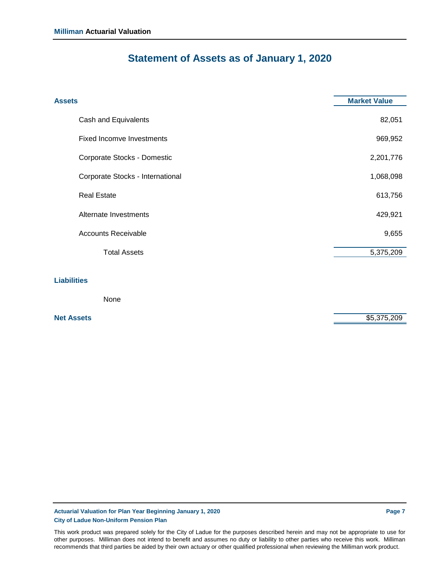# **Statement of Assets as of January 1, 2020**

| <b>Assets</b>                    | <b>Market Value</b> |
|----------------------------------|---------------------|
| Cash and Equivalents             | 82,051              |
| <b>Fixed Incomve Investments</b> | 969,952             |
| Corporate Stocks - Domestic      | 2,201,776           |
| Corporate Stocks - International | 1,068,098           |
| <b>Real Estate</b>               | 613,756             |
| Alternate Investments            | 429,921             |
| <b>Accounts Receivable</b>       | 9,655               |
| <b>Total Assets</b>              | 5,375,209           |
| <b>Liabilities</b>               |                     |
| None                             |                     |

**Net Assets**  $$5,375,209$ 

**Actuarial Valuation for Plan Year Beginning January 1, 2020 Page 7 City of Ladue Non-Uniform Pension Plan**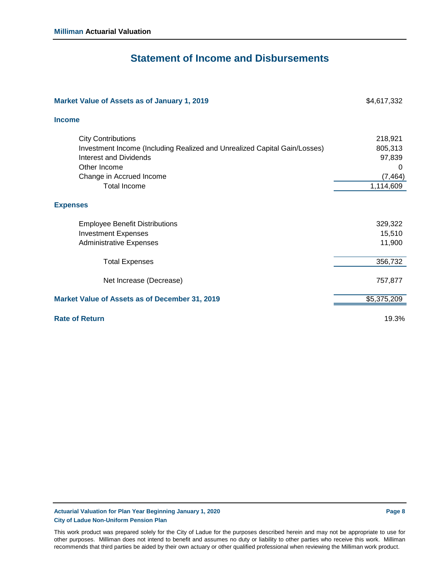### **Statement of Income and Disbursements**

| Market Value of Assets as of January 1, 2019                              | \$4,617,332 |
|---------------------------------------------------------------------------|-------------|
| <b>Income</b>                                                             |             |
| <b>City Contributions</b>                                                 | 218,921     |
| Investment Income (Including Realized and Unrealized Capital Gain/Losses) | 805,313     |
| Interest and Dividends                                                    | 97,839      |
| Other Income                                                              | 0           |
| Change in Accrued Income                                                  | (7, 464)    |
| <b>Total Income</b>                                                       | 1,114,609   |
| <b>Expenses</b>                                                           |             |
| <b>Employee Benefit Distributions</b>                                     | 329,322     |
| <b>Investment Expenses</b>                                                | 15,510      |
| <b>Administrative Expenses</b>                                            | 11,900      |
| <b>Total Expenses</b>                                                     | 356,732     |
| Net Increase (Decrease)                                                   | 757,877     |
| Market Value of Assets as of December 31, 2019                            | \$5,375,209 |
| <b>Rate of Return</b>                                                     | 19.3%       |

**Actuarial Valuation for Plan Year Beginning January 1, 2020 Page 8 City of Ladue Non-Uniform Pension Plan**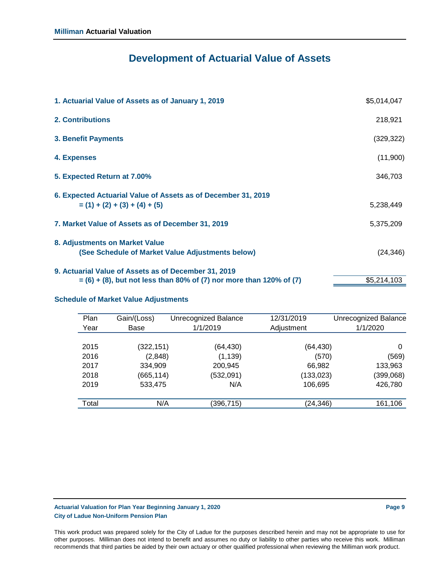# **Development of Actuarial Value of Assets**

| 1. Actuarial Value of Assets as of January 1, 2019                     | \$5,014,047 |
|------------------------------------------------------------------------|-------------|
| <b>2. Contributions</b>                                                | 218,921     |
| <b>3. Benefit Payments</b>                                             | (329, 322)  |
| 4. Expenses                                                            | (11,900)    |
| 5. Expected Return at 7.00%                                            | 346,703     |
| 6. Expected Actuarial Value of Assets as of December 31, 2019          |             |
| $= (1) + (2) + (3) + (4) + (5)$                                        | 5,238,449   |
| 7. Market Value of Assets as of December 31, 2019                      | 5,375,209   |
| 8. Adjustments on Market Value                                         |             |
| (See Schedule of Market Value Adjustments below)                       | (24, 346)   |
| 9. Actuarial Value of Assets as of December 31, 2019                   |             |
| $= (6) + (8)$ , but not less than 80% of (7) nor more than 120% of (7) | \$5,214,103 |
|                                                                        |             |

### **Schedule of Market Value Adjustments**

| Plan<br>Year | Gain/(Loss)<br>Base | Unrecognized Balance<br>1/1/2019 | 12/31/2019<br>Adjustment | <b>Unrecognized Balance</b><br>1/1/2020 |
|--------------|---------------------|----------------------------------|--------------------------|-----------------------------------------|
| 2015         | (322, 151)          | (64, 430)                        | (64, 430)                | 0                                       |
| 2016         | (2,848)             | (1, 139)                         | (570)                    | (569)                                   |
| 2017         | 334,909             | 200,945                          | 66,982                   | 133,963                                 |
| 2018         | (665, 114)          | (532,091)                        | (133, 023)               | (399,068)                               |
| 2019         | 533,475             | N/A                              | 106,695                  | 426,780                                 |
|              |                     |                                  |                          |                                         |
| Total        | N/A                 | (396,715)                        | (24, 346)                | 161,106                                 |

### **Actuarial Valuation for Plan Year Beginning January 1, 2020 Page 9 City of Ladue Non-Uniform Pension Plan**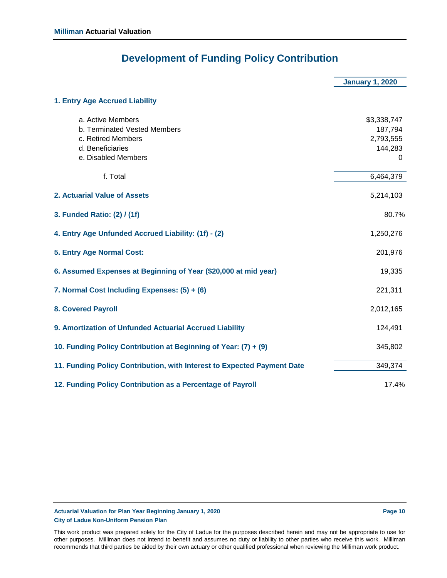# **Development of Funding Policy Contribution**

|                                                                                                                    | <b>January 1, 2020</b>                              |
|--------------------------------------------------------------------------------------------------------------------|-----------------------------------------------------|
| 1. Entry Age Accrued Liability                                                                                     |                                                     |
| a. Active Members<br>b. Terminated Vested Members<br>c. Retired Members<br>d. Beneficiaries<br>e. Disabled Members | \$3,338,747<br>187,794<br>2,793,555<br>144,283<br>0 |
| f. Total                                                                                                           | 6,464,379                                           |
| 2. Actuarial Value of Assets                                                                                       | 5,214,103                                           |
| 3. Funded Ratio: (2) / (1f)                                                                                        | 80.7%                                               |
| 4. Entry Age Unfunded Accrued Liability: (1f) - (2)                                                                | 1,250,276                                           |
| 5. Entry Age Normal Cost:                                                                                          | 201,976                                             |
| 6. Assumed Expenses at Beginning of Year (\$20,000 at mid year)                                                    | 19,335                                              |
| 7. Normal Cost Including Expenses: (5) + (6)                                                                       | 221,311                                             |
| <b>8. Covered Payroll</b>                                                                                          | 2,012,165                                           |
| 9. Amortization of Unfunded Actuarial Accrued Liability                                                            | 124,491                                             |
| 10. Funding Policy Contribution at Beginning of Year: (7) + (9)                                                    | 345,802                                             |
| 11. Funding Policy Contribution, with Interest to Expected Payment Date                                            | 349,374                                             |
| 12. Funding Policy Contribution as a Percentage of Payroll                                                         | 17.4%                                               |

**Actuarial Valuation for Plan Year Beginning January 1, 2020 Page 10 City of Ladue Non-Uniform Pension Plan**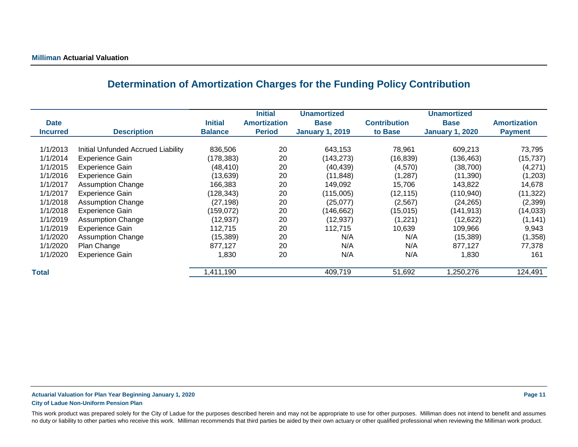## **Determination of Amortization Charges for the Funding Policy Contribution**

|                 |                                    |                | <b>Initial</b>      | <b>Unamortized</b>     |                     | <b>Unamortized</b>     |                     |
|-----------------|------------------------------------|----------------|---------------------|------------------------|---------------------|------------------------|---------------------|
| <b>Date</b>     |                                    | <b>Initial</b> | <b>Amortization</b> | <b>Base</b>            | <b>Contribution</b> | <b>Base</b>            | <b>Amortization</b> |
| <b>Incurred</b> | <b>Description</b>                 | <b>Balance</b> | <b>Period</b>       | <b>January 1, 2019</b> | to Base             | <b>January 1, 2020</b> | <b>Payment</b>      |
|                 |                                    |                |                     |                        |                     |                        |                     |
| 1/1/2013        | Initial Unfunded Accrued Liability | 836,506        | 20                  | 643,153                | 78,961              | 609,213                | 73,795              |
| 1/1/2014        | <b>Experience Gain</b>             | (178, 383)     | 20                  | (143, 273)             | (16, 839)           | (136, 463)             | (15, 737)           |
| 1/1/2015        | <b>Experience Gain</b>             | (48, 410)      | 20                  | (40, 439)              | (4,570)             | (38,700)               | (4,271)             |
| 1/1/2016        | <b>Experience Gain</b>             | (13, 639)      | 20                  | (11, 848)              | (1, 287)            | (11,390)               | (1,203)             |
| 1/1/2017        | <b>Assumption Change</b>           | 166,383        | 20                  | 149,092                | 15.706              | 143,822                | 14,678              |
| 1/1/2017        | <b>Experience Gain</b>             | (128, 343)     | 20                  | (115,005)              | (12, 115)           | (110, 940)             | (11, 322)           |
| 1/1/2018        | <b>Assumption Change</b>           | (27, 198)      | 20                  | (25,077)               | (2, 567)            | (24, 265)              | (2,399)             |
| 1/1/2018        | <b>Experience Gain</b>             | (159,072)      | 20                  | (146,662)              | (15,015)            | (141,913)              | (14, 033)           |
| 1/1/2019        | <b>Assumption Change</b>           | (12, 937)      | 20                  | (12, 937)              | (1, 221)            | (12, 622)              | (1, 141)            |
| 1/1/2019        | <b>Experience Gain</b>             | 112,715        | 20                  | 112,715                | 10,639              | 109,966                | 9,943               |
| 1/1/2020        | <b>Assumption Change</b>           | (15, 389)      | 20                  | N/A                    | N/A                 | (15, 389)              | (1,358)             |
| 1/1/2020        | Plan Change                        | 877,127        | 20                  | N/A                    | N/A                 | 877,127                | 77,378              |
| 1/1/2020        | <b>Experience Gain</b>             | 1,830          | 20                  | N/A                    | N/A                 | 1,830                  | 161                 |
| <b>Total</b>    |                                    | 1,411,190      |                     | 409,719                | 51,692              | 1,250,276              | 124,491             |

### **Actuarial Valuation for Plan Year Beginning January 1, 2020 Page 11 City of Ladue Non-Uniform Pension Plan**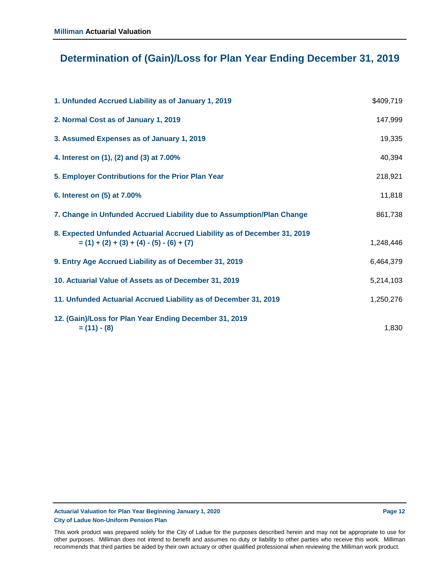# **Determination of (Gain)/Loss for Plan Year Ending December 31, 2019**

| 1. Unfunded Accrued Liability as of January 1, 2019                                                                     | \$409,719 |
|-------------------------------------------------------------------------------------------------------------------------|-----------|
| 2. Normal Cost as of January 1, 2019                                                                                    | 147,999   |
| 3. Assumed Expenses as of January 1, 2019                                                                               | 19,335    |
| 4. Interest on (1), (2) and (3) at 7.00%                                                                                | 40,394    |
| 5. Employer Contributions for the Prior Plan Year                                                                       | 218,921   |
| 6. Interest on (5) at 7.00%                                                                                             | 11,818    |
| 7. Change in Unfunded Accrued Liability due to Assumption/Plan Change                                                   | 861,738   |
| 8. Expected Unfunded Actuarial Accrued Liability as of December 31, 2019<br>$= (1) + (2) + (3) + (4) - (5) - (6) + (7)$ | 1,248,446 |
| 9. Entry Age Accrued Liability as of December 31, 2019                                                                  | 6,464,379 |
| 10. Actuarial Value of Assets as of December 31, 2019                                                                   | 5,214,103 |
| 11. Unfunded Actuarial Accrued Liability as of December 31, 2019                                                        | 1,250,276 |
| 12. (Gain)/Loss for Plan Year Ending December 31, 2019<br>$= (11) - (8)$                                                | 1,830     |

#### **Actuarial Valuation for Plan Year Beginning January 1, 2020 Page 12 City of Ladue Non-Uniform Pension Plan**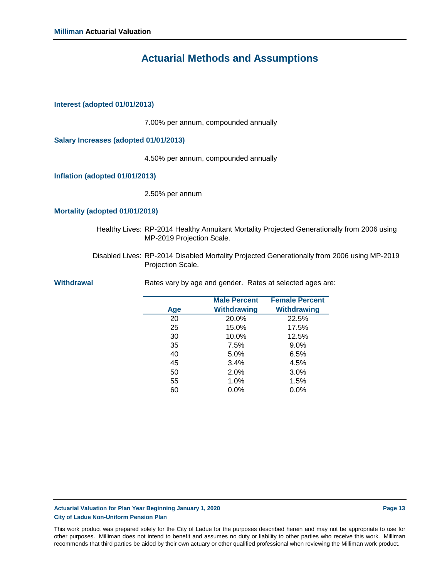### **Actuarial Methods and Assumptions**

### **Interest (adopted 01/01/2013)**

7.00% per annum, compounded annually

**Salary Increases (adopted 01/01/2013)**

4.50% per annum, compounded annually

**Inflation (adopted 01/01/2013)**

2.50% per annum

#### **Mortality (adopted 01/01/2019)**

- Healthy Lives: RP-2014 Healthy Annuitant Mortality Projected Generationally from 2006 using MP-2019 Projection Scale.
- Disabled Lives: RP-2014 Disabled Mortality Projected Generationally from 2006 using MP-2019 Projection Scale.

|     | <b>Male Percent</b> | <b>Female Percent</b> |
|-----|---------------------|-----------------------|
| Age | Withdrawing         | <b>Withdrawing</b>    |
| 20  | 20.0%               | 22.5%                 |
| 25  | 15.0%               | 17.5%                 |
| 30  | 10.0%               | 12.5%                 |
| 35  | 7.5%                | $9.0\%$               |
| 40  | 5.0%                | 6.5%                  |
| 45  | 3.4%                | 4.5%                  |
| 50  | 2.0%                | 3.0%                  |
| 55  | 1.0%                | 1.5%                  |
| 60  | $0.0\%$             | $0.0\%$               |

Withdrawal **Withdrawal** Rates vary by age and gender. Rates at selected ages are:

#### **Actuarial Valuation for Plan Year Beginning January 1, 2020 Page 13 City of Ladue Non-Uniform Pension Plan**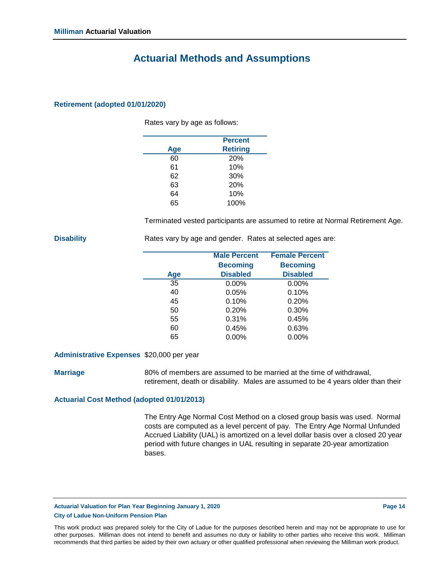### **Actuarial Methods and Assumptions**

### **Retirement (adopted 01/01/2020)**

Rates vary by age as follows:

|     | <b>Percent</b>  |
|-----|-----------------|
| Age | <b>Retiring</b> |
| 60  | 20%             |
| 61  | 10%             |
| 62  | 30%             |
| 63  | 20%             |
| 64  | 10%             |
| 65  | 100%            |
|     |                 |

Terminated vested participants are assumed to retire at Normal Retirement Age.

**Disability** Rates vary by age and gender. Rates at selected ages are:

|     | <b>Male Percent</b> | <b>Female Percent</b> |
|-----|---------------------|-----------------------|
|     | <b>Becoming</b>     | <b>Becoming</b>       |
| Age | <b>Disabled</b>     | <b>Disabled</b>       |
| 35  | $0.00\%$            | $0.00\%$              |
| 40  | 0.05%               | 0.10%                 |
| 45  | 0.10%               | 0.20%                 |
| 50  | 0.20%               | 0.30%                 |
| 55  | 0.31%               | 0.45%                 |
| 60  | 0.45%               | 0.63%                 |
| 65  | $0.00\%$            | $0.00\%$              |

#### **Administrative Expenses** \$20,000 per year

**Marriage**

80% of members are assumed to be married at the time of withdrawal, retirement, death or disability. Males are assumed to be 4 years older than their

#### **Actuarial Cost Method (adopted 01/01/2013)**

The Entry Age Normal Cost Method on a closed group basis was used. Normal costs are computed as a level percent of pay. The Entry Age Normal Unfunded Accrued Liability (UAL) is amortized on a level dollar basis over a closed 20 year period with future changes in UAL resulting in separate 20-year amortization bases.

**Actuarial Valuation for Plan Year Beginning January 1, 2020 Page 14 City of Ladue Non-Uniform Pension Plan**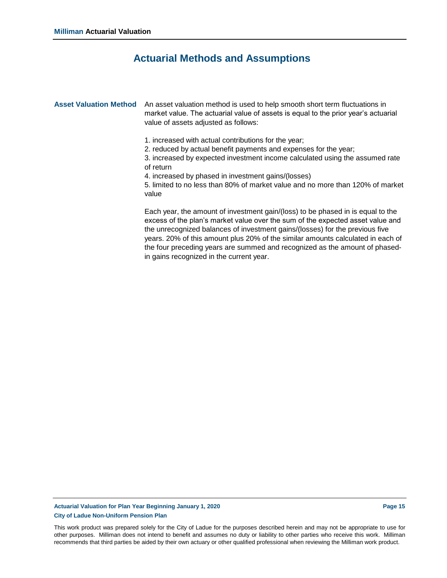### **Actuarial Methods and Assumptions**

Asset Valuation Method An asset valuation method is used to help smooth short term fluctuations in market value. The actuarial value of assets is equal to the prior year's actuarial value of assets adjusted as follows:

- 1. increased with actual contributions for the year;
- 2. reduced by actual benefit payments and expenses for the year;

3. increased by expected investment income calculated using the assumed rate of return

4. increased by phased in investment gains/(losses)

5. limited to no less than 80% of market value and no more than 120% of market value

Each year, the amount of investment gain/(loss) to be phased in is equal to the excess of the plan's market value over the sum of the expected asset value and the unrecognized balances of investment gains/(losses) for the previous five years. 20% of this amount plus 20% of the similar amounts calculated in each of the four preceding years are summed and recognized as the amount of phasedin gains recognized in the current year.

#### **Actuarial Valuation for Plan Year Beginning January 1, 2020 Page 15 City of Ladue Non-Uniform Pension Plan**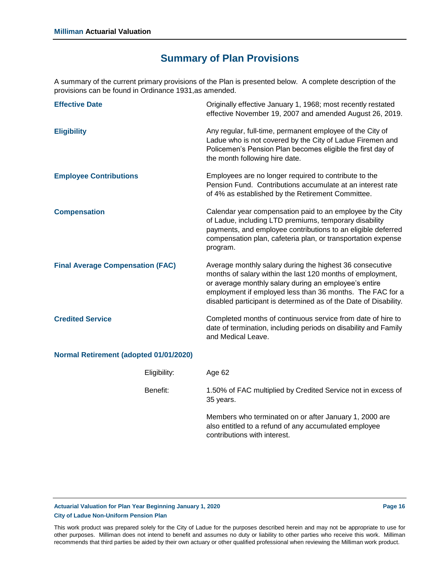A summary of the current primary provisions of the Plan is presented below. A complete description of the provisions can be found in Ordinance 1931,as amended.

| <b>Effective Date</b>                   | Originally effective January 1, 1968; most recently restated<br>effective November 19, 2007 and amended August 26, 2019.                                                                                                                                                                                         |
|-----------------------------------------|------------------------------------------------------------------------------------------------------------------------------------------------------------------------------------------------------------------------------------------------------------------------------------------------------------------|
| <b>Eligibility</b>                      | Any regular, full-time, permanent employee of the City of<br>Ladue who is not covered by the City of Ladue Firemen and<br>Policemen's Pension Plan becomes eligible the first day of<br>the month following hire date.                                                                                           |
| <b>Employee Contributions</b>           | Employees are no longer required to contribute to the<br>Pension Fund. Contributions accumulate at an interest rate<br>of 4% as established by the Retirement Committee.                                                                                                                                         |
| <b>Compensation</b>                     | Calendar year compensation paid to an employee by the City<br>of Ladue, including LTD premiums, temporary disability<br>payments, and employee contributions to an eligible deferred<br>compensation plan, cafeteria plan, or transportation expense<br>program.                                                 |
| <b>Final Average Compensation (FAC)</b> | Average monthly salary during the highest 36 consecutive<br>months of salary within the last 120 months of employment,<br>or average monthly salary during an employee's entire<br>employment if employed less than 36 months. The FAC for a<br>disabled participant is determined as of the Date of Disability. |
| <b>Credited Service</b>                 | Completed months of continuous service from date of hire to<br>date of termination, including periods on disability and Family<br>and Medical Leave.                                                                                                                                                             |
| Normal Retirement (adopted 01/01/2020)  |                                                                                                                                                                                                                                                                                                                  |
| Eligibility:                            | Age 62                                                                                                                                                                                                                                                                                                           |
| Benefit:                                | 1.50% of FAC multiplied by Credited Service not in excess of<br>35 years.                                                                                                                                                                                                                                        |
|                                         | Members who terminated on or after January 1, 2000 are                                                                                                                                                                                                                                                           |

**Actuarial Valuation for Plan Year Beginning January 1, 2020 Page 16 City of Ladue Non-Uniform Pension Plan**

This work product was prepared solely for the City of Ladue for the purposes described herein and may not be appropriate to use for other purposes. Milliman does not intend to benefit and assumes no duty or liability to other parties who receive this work. Milliman recommends that third parties be aided by their own actuary or other qualified professional when reviewing the Milliman work product.

contributions with interest.

also entitled to a refund of any accumulated employee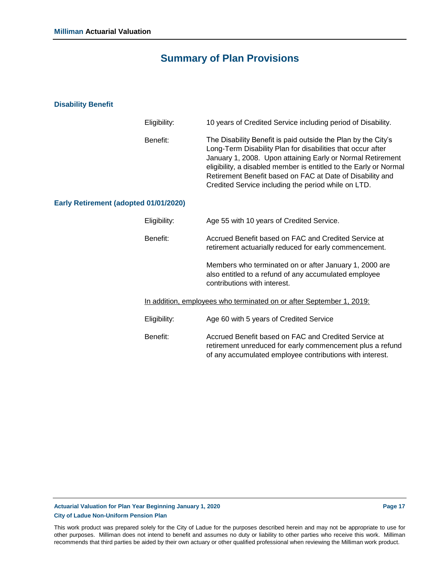### **Disability Benefit**

|                                       | Eligibility: | 10 years of Credited Service including period of Disability.                                                                                                                                                                                                                                                                                                                        |
|---------------------------------------|--------------|-------------------------------------------------------------------------------------------------------------------------------------------------------------------------------------------------------------------------------------------------------------------------------------------------------------------------------------------------------------------------------------|
|                                       | Benefit:     | The Disability Benefit is paid outside the Plan by the City's<br>Long-Term Disability Plan for disabilities that occur after<br>January 1, 2008. Upon attaining Early or Normal Retirement<br>eligibility, a disabled member is entitled to the Early or Normal<br>Retirement Benefit based on FAC at Date of Disability and<br>Credited Service including the period while on LTD. |
| Early Retirement (adopted 01/01/2020) |              |                                                                                                                                                                                                                                                                                                                                                                                     |
|                                       | Eligibility: | Age 55 with 10 years of Credited Service.                                                                                                                                                                                                                                                                                                                                           |
|                                       | Benefit:     | Accrued Benefit based on FAC and Credited Service at<br>retirement actuarially reduced for early commencement.                                                                                                                                                                                                                                                                      |
|                                       |              | Members who terminated on or after January 1, 2000 are<br>also entitled to a refund of any accumulated employee<br>contributions with interest.                                                                                                                                                                                                                                     |
|                                       |              | In addition, employees who terminated on or after September 1, 2019:                                                                                                                                                                                                                                                                                                                |
|                                       | Eligibility: | Age 60 with 5 years of Credited Service                                                                                                                                                                                                                                                                                                                                             |
|                                       | Benefit:     | Accrued Benefit based on FAC and Credited Service at<br>retirement unreduced for early commencement plus a refund<br>of any accumulated employee contributions with interest.                                                                                                                                                                                                       |

### **Actuarial Valuation for Plan Year Beginning January 1, 2020 Page 17 City of Ladue Non-Uniform Pension Plan**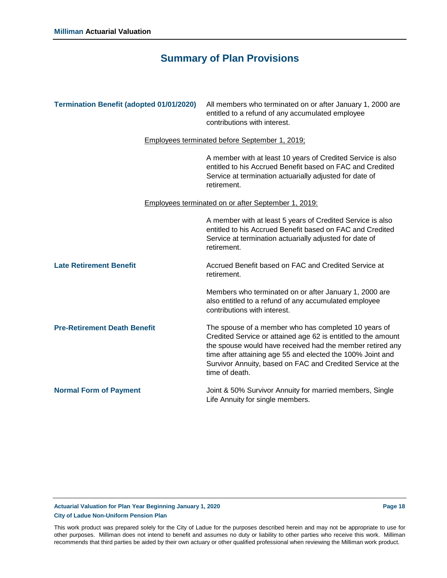| <b>Termination Benefit (adopted 01/01/2020)</b> | All members who terminated on or after January 1, 2000 are<br>entitled to a refund of any accumulated employee<br>contributions with interest.                                                                                                                                                                                   |
|-------------------------------------------------|----------------------------------------------------------------------------------------------------------------------------------------------------------------------------------------------------------------------------------------------------------------------------------------------------------------------------------|
|                                                 | Employees terminated before September 1, 2019;                                                                                                                                                                                                                                                                                   |
|                                                 | A member with at least 10 years of Credited Service is also<br>entitled to his Accrued Benefit based on FAC and Credited<br>Service at termination actuarially adjusted for date of<br>retirement.                                                                                                                               |
|                                                 | <b>Employees terminated on or after September 1, 2019:</b>                                                                                                                                                                                                                                                                       |
|                                                 | A member with at least 5 years of Credited Service is also<br>entitled to his Accrued Benefit based on FAC and Credited<br>Service at termination actuarially adjusted for date of<br>retirement.                                                                                                                                |
| <b>Late Retirement Benefit</b>                  | Accrued Benefit based on FAC and Credited Service at<br>retirement.                                                                                                                                                                                                                                                              |
|                                                 | Members who terminated on or after January 1, 2000 are<br>also entitled to a refund of any accumulated employee<br>contributions with interest.                                                                                                                                                                                  |
| <b>Pre-Retirement Death Benefit</b>             | The spouse of a member who has completed 10 years of<br>Credited Service or attained age 62 is entitled to the amount<br>the spouse would have received had the member retired any<br>time after attaining age 55 and elected the 100% Joint and<br>Survivor Annuity, based on FAC and Credited Service at the<br>time of death. |
| <b>Normal Form of Payment</b>                   | Joint & 50% Survivor Annuity for married members, Single<br>Life Annuity for single members.                                                                                                                                                                                                                                     |

### **Actuarial Valuation for Plan Year Beginning January 1, 2020 Page 18 City of Ladue Non-Uniform Pension Plan**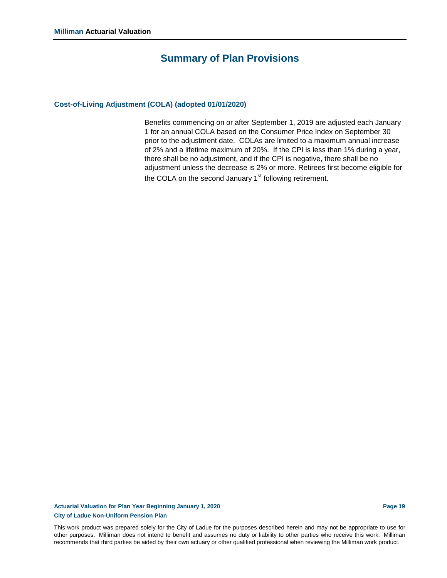#### **Cost-of-Living Adjustment (COLA) (adopted 01/01/2020)**

Benefits commencing on or after September 1, 2019 are adjusted each January 1 for an annual COLA based on the Consumer Price Index on September 30 prior to the adjustment date. COLAs are limited to a maximum annual increase of 2% and a lifetime maximum of 20%. If the CPI is less than 1% during a year, there shall be no adjustment, and if the CPI is negative, there shall be no adjustment unless the decrease is 2% or more. Retirees first become eligible for the COLA on the second January  $1<sup>st</sup>$  following retirement.

**Actuarial Valuation for Plan Year Beginning January 1, 2020 Page 19 City of Ladue Non-Uniform Pension Plan**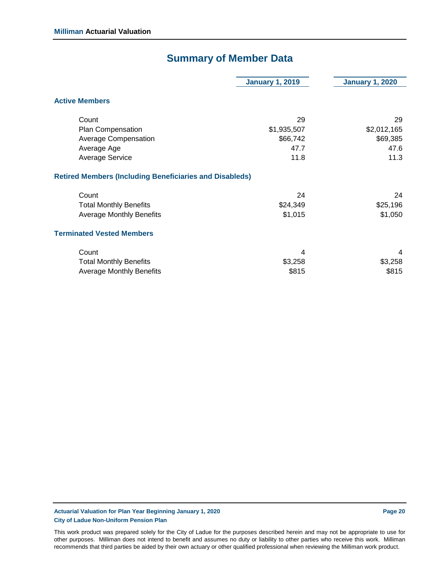# **Summary of Member Data**

|                                                                | <b>January 1, 2019</b> | <b>January 1, 2020</b> |
|----------------------------------------------------------------|------------------------|------------------------|
| <b>Active Members</b>                                          |                        |                        |
| Count                                                          | 29                     | 29                     |
| Plan Compensation                                              | \$1,935,507            | \$2,012,165            |
| <b>Average Compensation</b>                                    | \$66,742               | \$69,385               |
| Average Age                                                    | 47.7                   | 47.6                   |
| <b>Average Service</b>                                         | 11.8                   | 11.3                   |
| <b>Retired Members (Including Beneficiaries and Disableds)</b> |                        |                        |
| Count                                                          | 24                     | 24                     |
| <b>Total Monthly Benefits</b>                                  | \$24,349               | \$25,196               |
| <b>Average Monthly Benefits</b>                                | \$1,015                | \$1,050                |
| <b>Terminated Vested Members</b>                               |                        |                        |
| Count                                                          | 4                      | 4                      |
| <b>Total Monthly Benefits</b>                                  | \$3,258                | \$3,258                |
| <b>Average Monthly Benefits</b>                                | \$815                  | \$815                  |
|                                                                |                        |                        |

**Actuarial Valuation for Plan Year Beginning January 1, 2020 Page 20 City of Ladue Non-Uniform Pension Plan**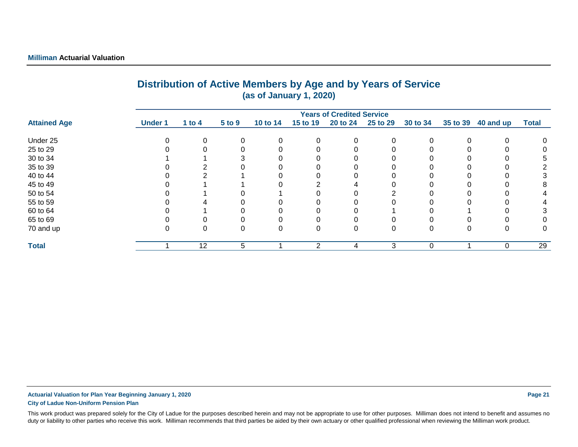| (as of January 1, 2020) |                |          |          |          |          |                                  |          |          |          |           |              |
|-------------------------|----------------|----------|----------|----------|----------|----------------------------------|----------|----------|----------|-----------|--------------|
|                         |                |          |          |          |          | <b>Years of Credited Service</b> |          |          |          |           |              |
| <b>Attained Age</b>     | <b>Under 1</b> | 1 to $4$ | 5 to 9   | 10 to 14 | 15 to 19 | 20 to 24                         | 25 to 29 | 30 to 34 | 35 to 39 | 40 and up | <b>Total</b> |
| Under 25                |                |          |          | 0        | 0        |                                  | $\Omega$ |          |          | 0         |              |
| 25 to 29                |                |          |          | $\Omega$ |          |                                  |          |          |          |           |              |
| 30 to 34                |                |          |          | 0        |          |                                  |          |          |          |           |              |
| 35 to 39                |                |          |          |          |          |                                  |          |          |          |           |              |
| 40 to 44                |                |          |          |          |          |                                  |          |          |          |           |              |
| 45 to 49                |                |          |          |          |          |                                  |          |          |          |           | 8            |
| 50 to 54                |                |          |          |          |          |                                  |          |          |          |           |              |
| 55 to 59                |                |          |          |          |          |                                  |          |          |          |           |              |
| 60 to 64                |                |          |          | 0        |          |                                  |          |          |          |           |              |
| 65 to 69                |                |          |          | 0        |          |                                  |          |          |          |           |              |
| 70 and up               | υ              | 0        | $\Omega$ | 0        | 0        | 0                                | 0        |          | 0        | 0         | 0            |
| <b>Total</b>            |                | 12       | 5.       |          | 2        | 4                                | 3        | $\Omega$ |          | $\Omega$  | 29           |

# **Distribution of Active Members by Age and by Years of Service**

**Actuarial Valuation for Plan Year Beginning January 1, 2020 Page 21 City of Ladue Non-Uniform Pension Plan**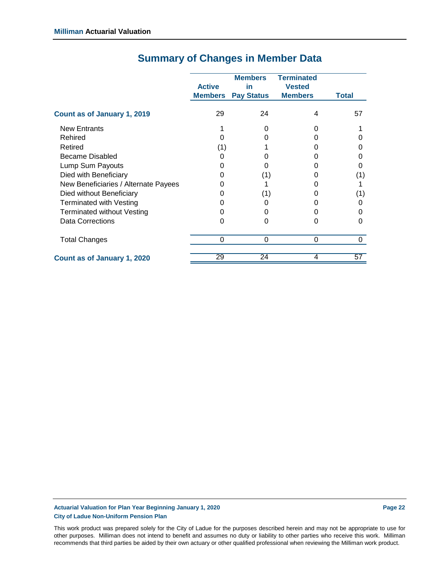|                                      | <b>Active</b><br><b>Members</b> | <b>Members</b><br>in<br><b>Pay Status</b> | <b>Terminated</b><br><b>Vested</b><br><b>Members</b> | <b>Total</b> |
|--------------------------------------|---------------------------------|-------------------------------------------|------------------------------------------------------|--------------|
| Count as of January 1, 2019          | 29                              | 24                                        | 4                                                    | 57           |
| <b>New Entrants</b>                  |                                 | O                                         |                                                      |              |
| Rehired                              |                                 |                                           |                                                      |              |
| Retired                              | (1)                             |                                           |                                                      |              |
| Became Disabled                      |                                 |                                           |                                                      |              |
| Lump Sum Payouts                     |                                 |                                           |                                                      |              |
| Died with Beneficiary                |                                 | (1)                                       |                                                      | (1)          |
| New Beneficiaries / Alternate Payees |                                 |                                           |                                                      |              |
| Died without Beneficiary             |                                 | (1)                                       |                                                      | (1)          |
| <b>Terminated with Vesting</b>       |                                 | O                                         |                                                      |              |
| <b>Terminated without Vesting</b>    |                                 |                                           |                                                      |              |
| <b>Data Corrections</b>              |                                 | 0                                         | ი                                                    |              |
| <b>Total Changes</b>                 | 0                               | 0                                         | 0                                                    | 0            |
| Count as of January 1, 2020          | 29                              | 24                                        | 4                                                    | 57           |

# **Summary of Changes in Member Data**

**Actuarial Valuation for Plan Year Beginning January 1, 2020 Page 22 City of Ladue Non-Uniform Pension Plan**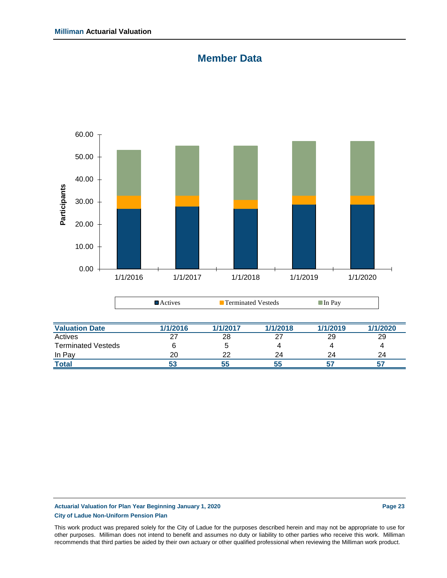### **Member Data**



| <b>Valuation Date</b>     | 1/1/2016 | 1/1/2017 | 1/1/2018 | 1/1/2019 | 1/1/2020 |
|---------------------------|----------|----------|----------|----------|----------|
| Actives                   |          | 28       |          | 29       | 29       |
| <b>Terminated Vesteds</b> |          |          |          |          |          |
| In Pay                    | 20       | ാറ       | 24       | 24       | 24       |
| <u>Total</u>              |          | 55       |          |          |          |

### **Actuarial Valuation for Plan Year Beginning January 1, 2020 Page 23 City of Ladue Non-Uniform Pension Plan**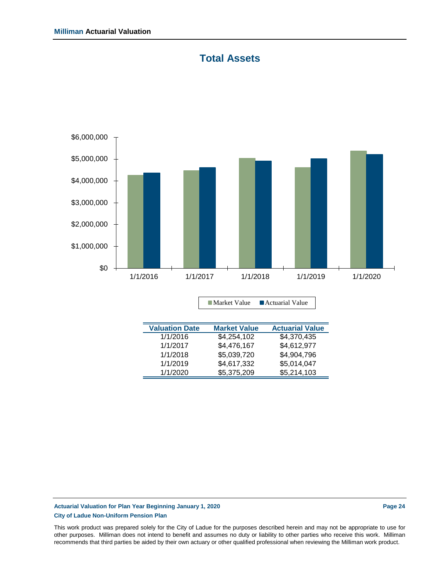## **Total Assets**



| <b>Valuation Date</b> | <b>Market Value</b> | <b>Actuarial Value</b> |
|-----------------------|---------------------|------------------------|
| 1/1/2016              | \$4,254,102         | \$4,370,435            |
| 1/1/2017              | \$4,476,167         | \$4,612,977            |
| 1/1/2018              | \$5,039,720         | \$4,904,796            |
| 1/1/2019              | \$4,617,332         | \$5,014,047            |
| 1/1/2020              | \$5,375,209         | \$5,214,103            |
|                       |                     |                        |

### **Actuarial Valuation for Plan Year Beginning January 1, 2020 Page 24 City of Ladue Non-Uniform Pension Plan**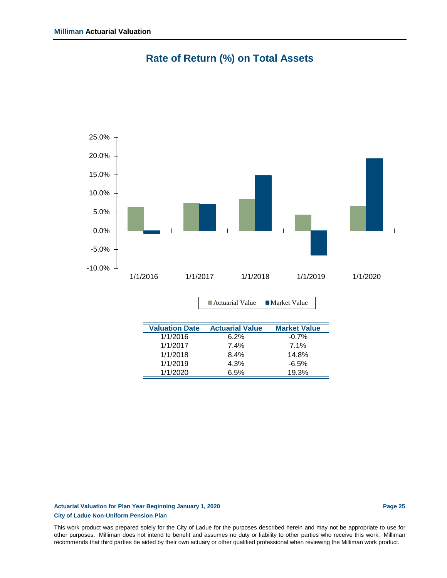

# **Rate of Return (%) on Total Assets**

| <b>Valuation Date</b> | <b>Actuarial Value</b> | <b>Market Value</b> |
|-----------------------|------------------------|---------------------|
| 1/1/2016              | 6.2%                   | $-0.7\%$            |
| 1/1/2017              | 7.4%                   | 7.1%                |
| 1/1/2018              | 8.4%                   | 14.8%               |
| 1/1/2019              | 4.3%                   | -6.5%               |
| 1/1/2020              | 6.5%                   | 19.3%               |

■ Actuarial Value ■ Market Value

### **Actuarial Valuation for Plan Year Beginning January 1, 2020 Page 25 City of Ladue Non-Uniform Pension Plan**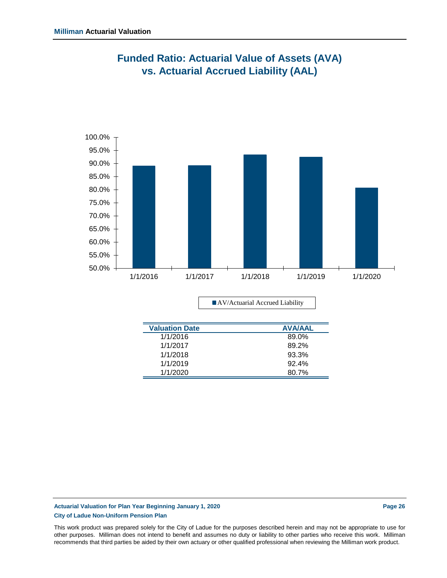

## **Funded Ratio: Actuarial Value of Assets (AVA) vs. Actuarial Accrued Liability (AAL)**

AV/Actuarial Accrued Liability

| <b>Valuation Date</b> | <b>AVA/AAL</b> |
|-----------------------|----------------|
| 1/1/2016              | 89.0%          |
| 1/1/2017              | 89.2%          |
| 1/1/2018              | 93.3%          |
| 1/1/2019              | 92.4%          |
| 1/1/2020              | 80.7%          |
|                       |                |

### **Actuarial Valuation for Plan Year Beginning January 1, 2020 Page 26 City of Ladue Non-Uniform Pension Plan**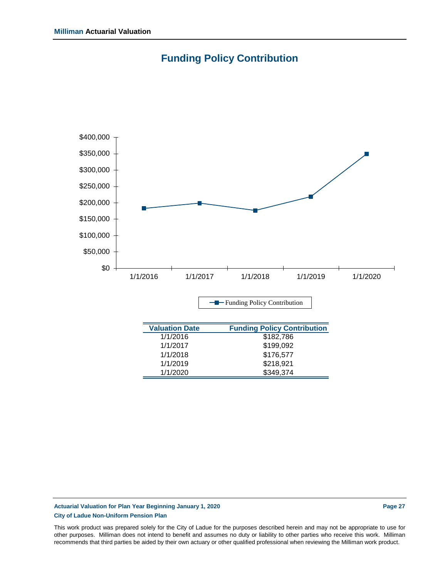



### **Actuarial Valuation for Plan Year Beginning January 1, 2020 Page 27 City of Ladue Non-Uniform Pension Plan**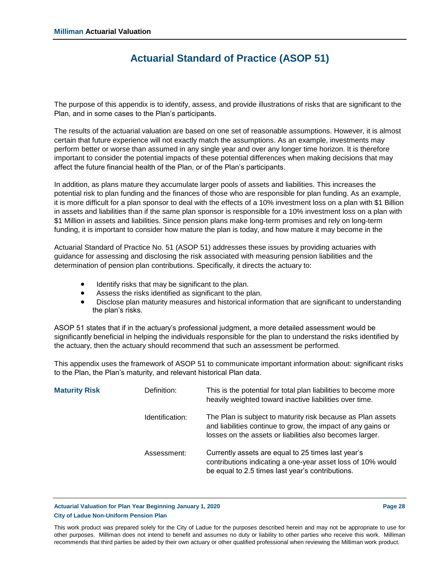### **Actuarial Standard of Practice (ASOP 51)**

The purpose of this appendix is to identify, assess, and provide illustrations of risks that are significant to the Plan, and in some cases to the Plan's participants.

The results of the actuarial valuation are based on one set of reasonable assumptions. However, it is almost certain that future experience will not exactly match the assumptions. As an example, investments may perform better or worse than assumed in any single year and over any longer time horizon. It is therefore important to consider the potential impacts of these potential differences when making decisions that may affect the future financial health of the Plan, or of the Plan's participants.

In addition, as plans mature they accumulate larger pools of assets and liabilities. This increases the potential risk to plan funding and the finances of those who are responsible for plan funding. As an example, it is more difficult for a plan sponsor to deal with the effects of a 10% investment loss on a plan with \$1 Billion in assets and liabilities than if the same plan sponsor is responsible for a 10% investment loss on a plan with \$1 Million in assets and liabilities. Since pension plans make long-term promises and rely on long-term funding, it is important to consider how mature the plan is today, and how mature it may become in the

Actuarial Standard of Practice No. 51 (ASOP 51) addresses these issues by providing actuaries with guidance for assessing and disclosing the risk associated with measuring pension liabilities and the determination of pension plan contributions. Specifically, it directs the actuary to:

- Identify risks that may be significant to the plan.
- Assess the risks identified as significant to the plan.
- Disclose plan maturity measures and historical information that are significant to understanding the plan's risks.

ASOP 51 states that if in the actuary's professional judgment, a more detailed assessment would be significantly beneficial in helping the individuals responsible for the plan to understand the risks identified by the actuary, then the actuary should recommend that such an assessment be performed.

This appendix uses the framework of ASOP 51 to communicate important information about: significant risks to the Plan, the Plan's maturity, and relevant historical Plan data.

| <b>Maturity Risk</b> | Definition:     | This is the potential for total plan liabilities to become more<br>heavily weighted toward inactive liabilities over time.                                                              |
|----------------------|-----------------|-----------------------------------------------------------------------------------------------------------------------------------------------------------------------------------------|
|                      | Identification: | The Plan is subject to maturity risk because as Plan assets<br>and liabilities continue to grow, the impact of any gains or<br>losses on the assets or liabilities also becomes larger. |
|                      | Assessment:     | Currently assets are equal to 25 times last year's<br>contributions indicating a one-year asset loss of 10% would<br>be equal to 2.5 times last year's contributions.                   |

**Actuarial Valuation for Plan Year Beginning January 1, 2020 Page 28 City of Ladue Non-Uniform Pension Plan**